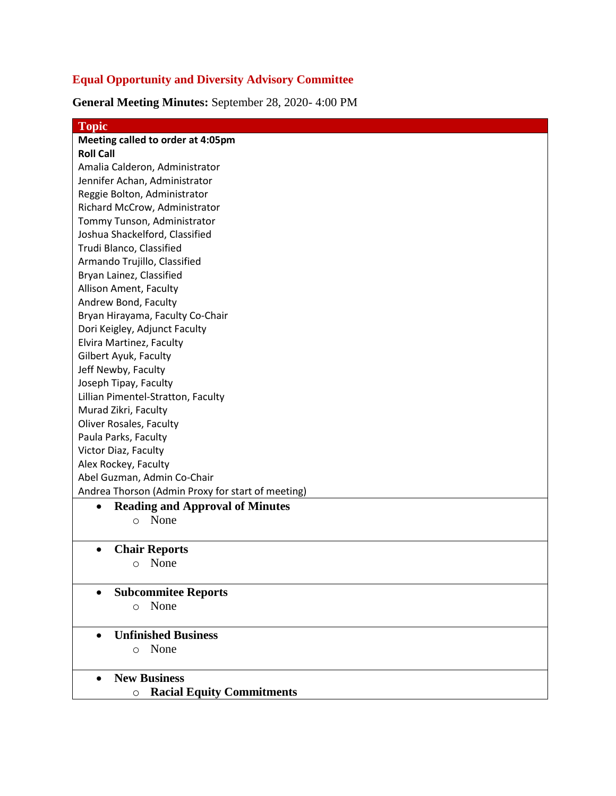## **Equal Opportunity and Diversity Advisory Committee**

**General Meeting Minutes:** September 28, 2020- 4:00 PM

| <b>Topic</b>                                        |
|-----------------------------------------------------|
| Meeting called to order at 4:05pm                   |
| <b>Roll Call</b>                                    |
| Amalia Calderon, Administrator                      |
| Jennifer Achan, Administrator                       |
| Reggie Bolton, Administrator                        |
| Richard McCrow, Administrator                       |
| Tommy Tunson, Administrator                         |
| Joshua Shackelford, Classified                      |
| Trudi Blanco, Classified                            |
| Armando Trujillo, Classified                        |
| Bryan Lainez, Classified                            |
| Allison Ament, Faculty                              |
| Andrew Bond, Faculty                                |
| Bryan Hirayama, Faculty Co-Chair                    |
| Dori Keigley, Adjunct Faculty                       |
| Elvira Martinez, Faculty                            |
| Gilbert Ayuk, Faculty                               |
| Jeff Newby, Faculty                                 |
| Joseph Tipay, Faculty                               |
| Lillian Pimentel-Stratton, Faculty                  |
| Murad Zikri, Faculty                                |
| <b>Oliver Rosales, Faculty</b>                      |
| Paula Parks, Faculty                                |
| Victor Diaz, Faculty                                |
| Alex Rockey, Faculty                                |
| Abel Guzman, Admin Co-Chair                         |
| Andrea Thorson (Admin Proxy for start of meeting)   |
| <b>Reading and Approval of Minutes</b><br>$\bullet$ |
| None<br>$\circ$                                     |
|                                                     |
| <b>Chair Reports</b>                                |
| None<br>$\circ$                                     |
|                                                     |
| <b>Subcommitee Reports</b>                          |
| None<br>$\circ$                                     |
|                                                     |
| <b>Unfinished Business</b><br>$\bullet$             |
| None<br>$\circ$                                     |
|                                                     |
| <b>New Business</b>                                 |
| <b>Racial Equity Commitments</b><br>O               |
|                                                     |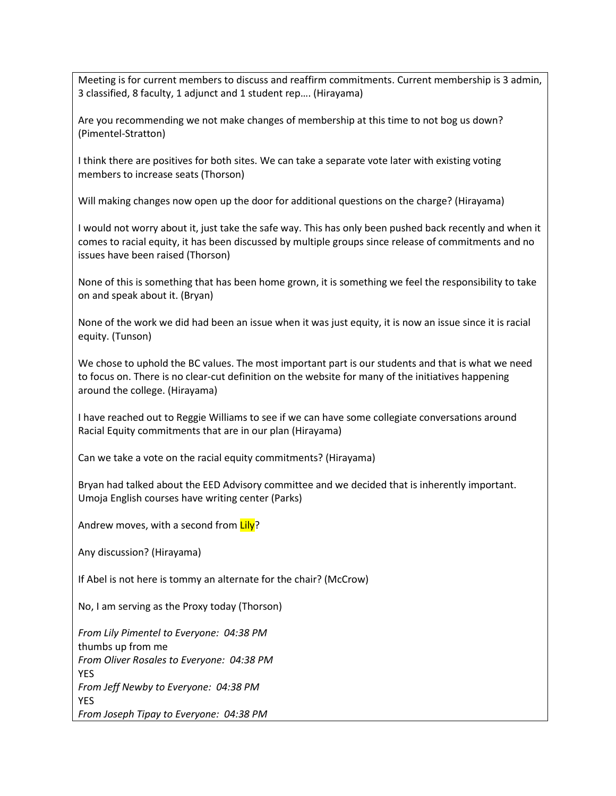Meeting is for current members to discuss and reaffirm commitments. Current membership is 3 admin, 3 classified, 8 faculty, 1 adjunct and 1 student rep…. (Hirayama)

Are you recommending we not make changes of membership at this time to not bog us down? (Pimentel-Stratton)

I think there are positives for both sites. We can take a separate vote later with existing voting members to increase seats (Thorson)

Will making changes now open up the door for additional questions on the charge? (Hirayama)

I would not worry about it, just take the safe way. This has only been pushed back recently and when it comes to racial equity, it has been discussed by multiple groups since release of commitments and no issues have been raised (Thorson)

None of this is something that has been home grown, it is something we feel the responsibility to take on and speak about it. (Bryan)

None of the work we did had been an issue when it was just equity, it is now an issue since it is racial equity. (Tunson)

We chose to uphold the BC values. The most important part is our students and that is what we need to focus on. There is no clear-cut definition on the website for many of the initiatives happening around the college. (Hirayama)

I have reached out to Reggie Williams to see if we can have some collegiate conversations around Racial Equity commitments that are in our plan (Hirayama)

Can we take a vote on the racial equity commitments? (Hirayama)

Bryan had talked about the EED Advisory committee and we decided that is inherently important. Umoja English courses have writing center (Parks)

Andrew moves, with a second from Lily?

Any discussion? (Hirayama)

If Abel is not here is tommy an alternate for the chair? (McCrow)

No, I am serving as the Proxy today (Thorson)

*From Lily Pimentel to Everyone: 04:38 PM* thumbs up from me *From Oliver Rosales to Everyone: 04:38 PM* YES *From Jeff Newby to Everyone: 04:38 PM* YES *From Joseph Tipay to Everyone: 04:38 PM*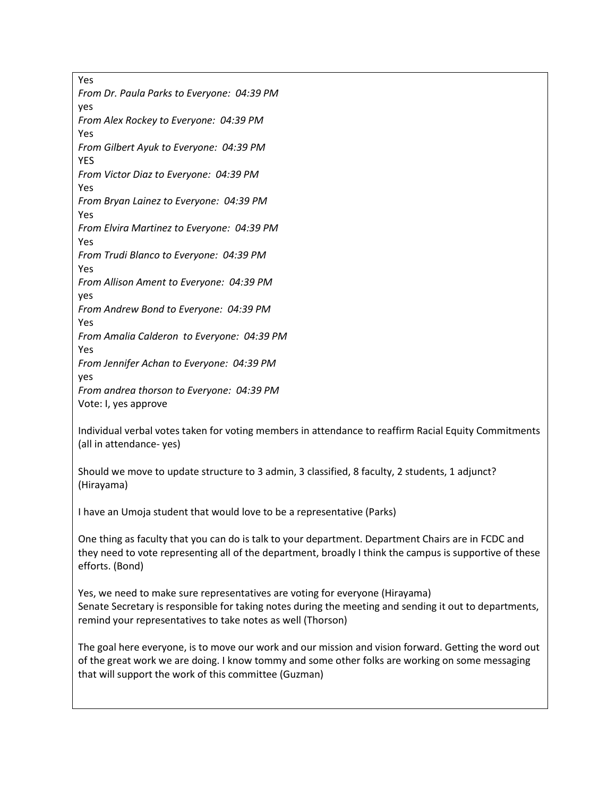Yes *From Dr. Paula Parks to Everyone: 04:39 PM* yes *From Alex Rockey to Everyone: 04:39 PM* Yes *From Gilbert Ayuk to Everyone: 04:39 PM* YES *From Victor Diaz to Everyone: 04:39 PM* Yes *From Bryan Lainez to Everyone: 04:39 PM* Yes *From Elvira Martinez to Everyone: 04:39 PM* Yes *From Trudi Blanco to Everyone: 04:39 PM* Yes *From Allison Ament to Everyone: 04:39 PM* yes *From Andrew Bond to Everyone: 04:39 PM* Yes *From Amalia Calderon to Everyone: 04:39 PM* Yes *From Jennifer Achan to Everyone: 04:39 PM* yes *From andrea thorson to Everyone: 04:39 PM* Vote: I, yes approve

Individual verbal votes taken for voting members in attendance to reaffirm Racial Equity Commitments (all in attendance- yes)

Should we move to update structure to 3 admin, 3 classified, 8 faculty, 2 students, 1 adjunct? (Hirayama)

I have an Umoja student that would love to be a representative (Parks)

One thing as faculty that you can do is talk to your department. Department Chairs are in FCDC and they need to vote representing all of the department, broadly I think the campus is supportive of these efforts. (Bond)

Yes, we need to make sure representatives are voting for everyone (Hirayama) Senate Secretary is responsible for taking notes during the meeting and sending it out to departments, remind your representatives to take notes as well (Thorson)

The goal here everyone, is to move our work and our mission and vision forward. Getting the word out of the great work we are doing. I know tommy and some other folks are working on some messaging that will support the work of this committee (Guzman)